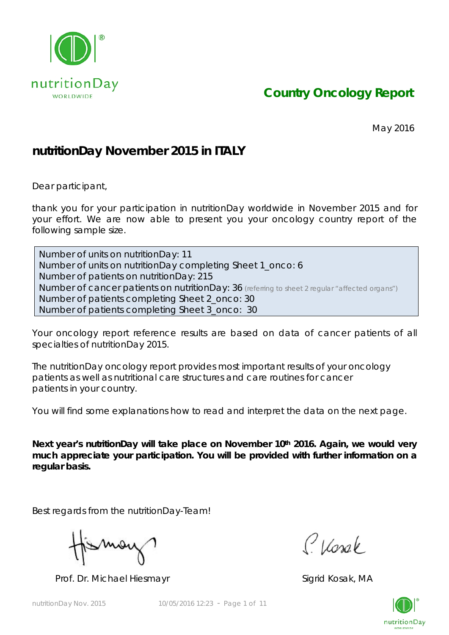

*Country Oncology Report*

May 2016

## **nutritionDay November 2015 in ITALY**

Dear participant,

thank you for your participation in nutritionDay worldwide in November 2015 and for your effort. We are now able to present you your oncology country report of the following sample size.

Number of units on nutritionDay: 11 Number of units on nutritionDay completing Sheet 1\_onco: 6 Number of patients on nutritionDay: 215 Number of cancer patients on nutritionDay: 36 *(referring to sheet 2 regular "affected organs")* Number of patients completing Sheet 2\_onco: 30 Number of patients completing Sheet 3\_onco: 30

Your oncology report reference results are based on data of cancer patients of all specialties of nutritionDay 2015.

The nutritionDay oncology report provides most important results of your oncology patients as well as nutritional care structures and care routines for cancer patients in your country.

You will find some explanations how to read and interpret the data on the next page.

Next year's nutritionDay will take place on November 10<sup>th</sup> 2016. Again, we would very **much appreciate your participation. You will be provided with further information on a regular basis.** 

Best regards from the nutritionDay-Team!

Mov

Prof. Dr. Michael Hiesmayr Sigrid Kosak, MA

Classe

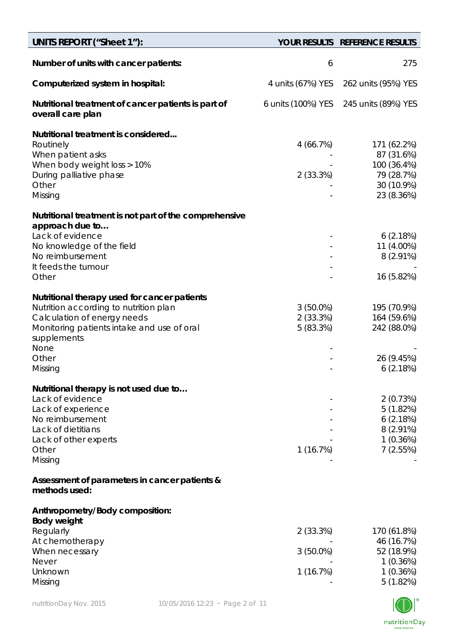| <b>UNITS REPORT ("Sheet 1"):</b>                                                                                                                                                                              |                                        | YOUR RESULTS REFERENCE RESULTS                                                     |
|---------------------------------------------------------------------------------------------------------------------------------------------------------------------------------------------------------------|----------------------------------------|------------------------------------------------------------------------------------|
| Number of units with cancer patients:                                                                                                                                                                         | 6                                      | 275                                                                                |
| Computerized system in hospital:                                                                                                                                                                              | 4 units (67%) YES                      | 262 units (95%) YES                                                                |
| Nutritional treatment of cancer patients is part of<br>overall care plan                                                                                                                                      | 6 units (100%) YES                     | 245 units (89%) YES                                                                |
| Nutritional treatment is considered<br>Routinely<br>When patient asks<br>When body weight loss > 10%<br>During palliative phase<br>Other<br>Missing                                                           | 4(66.7%)<br>2(33.3%)                   | 171 (62.2%)<br>87 (31.6%)<br>100 (36.4%)<br>79 (28.7%)<br>30 (10.9%)<br>23 (8.36%) |
| Nutritional treatment is not part of the comprehensive<br>approach due to<br>Lack of evidence<br>No knowledge of the field<br>No reimbursement<br>It feeds the tumour<br>Other                                |                                        | 6(2.18%)<br>11 (4.00%)<br>$8(2.91\%)$<br>16 (5.82%)                                |
| Nutritional therapy used for cancer patients<br>Nutrition according to nutrition plan<br>Calculation of energy needs<br>Monitoring patients intake and use of oral<br>supplements<br>None<br>Other<br>Missing | $3(50.0\%)$<br>$2(33.3\%)$<br>5(83.3%) | 195 (70.9%)<br>164 (59.6%)<br>242 (88.0%)<br>26 (9.45%)<br>6(2.18%)                |
| Nutritional therapy is not used due to<br>Lack of evidence<br>Lack of experience<br>No reimbursement<br>Lack of dietitians<br>Lack of other experts<br>Other<br>Missing                                       | 1(16.7%)                               | 2(0.73%)<br>5(1.82%)<br>6(2.18%)<br>$8(2.91\%)$<br>1(0.36%)<br>7(2.55%)            |
| Assessment of parameters in cancer patients &<br>methods used:                                                                                                                                                |                                        |                                                                                    |
| Anthropometry/Body composition:<br><b>Body weight</b><br>Regularly<br>At chemotherapy<br>When necessary<br><b>Never</b><br>Unknown<br>Missing                                                                 | 2(33.3%)<br>3 (50.0%)<br>1(16.7%)      | 170 (61.8%)<br>46 (16.7%)<br>52 (18.9%)<br>1(0.36%)<br>1(0.36%)<br>5(1.82%)        |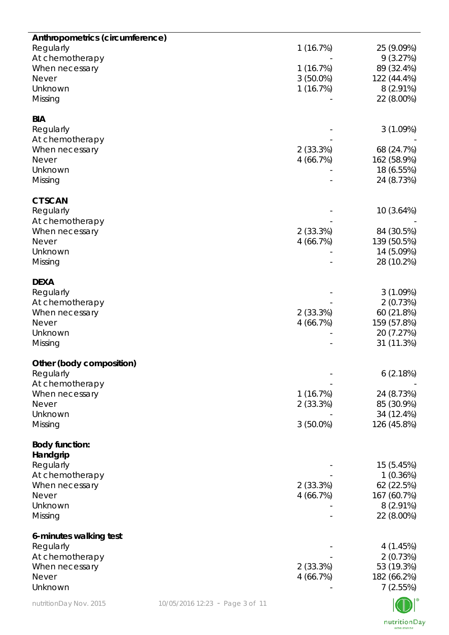| Anthropometrics (circumference) |                                 |             |             |
|---------------------------------|---------------------------------|-------------|-------------|
| Regularly                       |                                 | 1(16.7%)    | 25 (9.09%)  |
| At chemotherapy                 |                                 |             | 9(3.27%)    |
| When necessary                  |                                 | 1(16.7%)    | 89 (32.4%)  |
| <b>Never</b>                    |                                 | $3(50.0\%)$ | 122 (44.4%) |
| Unknown                         |                                 | 1(16.7%)    | 8 (2.91%)   |
| Missing                         |                                 |             | 22 (8.00%)  |
|                                 |                                 |             |             |
| <b>BIA</b>                      |                                 |             |             |
| Regularly                       |                                 |             | 3(1.09%)    |
| At chemotherapy                 |                                 |             |             |
| When necessary                  |                                 | 2(33.3%)    | 68 (24.7%)  |
| <b>Never</b>                    |                                 | 4(66.7%)    | 162 (58.9%) |
| Unknown                         |                                 |             | 18 (6.55%)  |
| Missing                         |                                 |             | 24 (8.73%)  |
|                                 |                                 |             |             |
| <b>CT SCAN</b>                  |                                 |             |             |
| Regularly                       |                                 |             | 10 (3.64%)  |
| At chemotherapy                 |                                 |             |             |
| When necessary                  |                                 | 2(33.3%)    | 84 (30.5%)  |
| <b>Never</b>                    |                                 | 4(66.7%)    | 139 (50.5%) |
| Unknown                         |                                 |             | 14 (5.09%)  |
| Missing                         |                                 |             | 28 (10.2%)  |
|                                 |                                 |             |             |
| <b>DEXA</b>                     |                                 |             |             |
| Regularly                       |                                 |             | 3(1.09%)    |
| At chemotherapy                 |                                 |             | 2(0.73%)    |
| When necessary                  |                                 | 2(33.3%)    | 60 (21.8%)  |
| <b>Never</b>                    |                                 | 4(66.7%)    | 159 (57.8%) |
| Unknown                         |                                 |             | 20 (7.27%)  |
| Missing                         |                                 |             | 31 (11.3%)  |
|                                 |                                 |             |             |
| Other (body composition)        |                                 |             |             |
| Regularly                       |                                 |             | 6(2.18%)    |
| At chemotherapy                 |                                 |             |             |
| When necessary                  |                                 | 1(16.7%)    | 24 (8.73%)  |
| Never                           |                                 | 2(33.3%)    | 85 (30.9%)  |
| Unknown                         |                                 |             | 34 (12.4%)  |
| Missing                         |                                 | $3(50.0\%)$ | 126 (45.8%) |
|                                 |                                 |             |             |
| <b>Body function:</b>           |                                 |             |             |
| Handgrip                        |                                 |             |             |
| Regularly                       |                                 |             | 15 (5.45%)  |
| At chemotherapy                 |                                 |             | 1(0.36%)    |
| When necessary                  |                                 | 2(33.3%)    | 62 (22.5%)  |
| Never                           |                                 | 4(66.7%)    | 167 (60.7%) |
| Unknown                         |                                 |             | $8(2.91\%)$ |
| Missing                         |                                 |             | 22 (8.00%)  |
|                                 |                                 |             |             |
| 6-minutes walking test          |                                 |             |             |
| Regularly                       |                                 |             | 4(1.45%)    |
| At chemotherapy                 |                                 |             | 2(0.73%)    |
| When necessary                  |                                 | 2(33.3%)    | 53 (19.3%)  |
| Never                           |                                 | 4(66.7%)    | 182 (66.2%) |
| Unknown                         |                                 |             | 7(2.55%)    |
| nutritionDay Nov. 2015          | 10/05/2016 12:23 - Page 3 of 11 |             |             |
|                                 |                                 |             |             |

 $\underset{\scriptscriptstyle{\text{work}-\text{power}}} {\text{nutritionDay}}$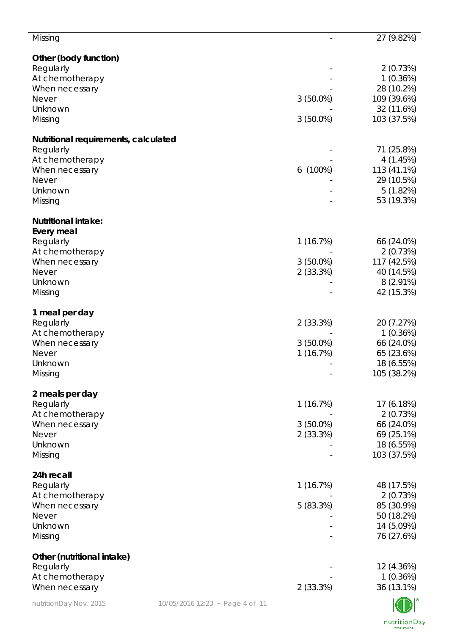| Missing                              |                                 |             | 27 (9.82%)                |
|--------------------------------------|---------------------------------|-------------|---------------------------|
| Other (body function)                |                                 |             |                           |
| Regularly                            |                                 |             | 2(0.73%)                  |
| At chemotherapy                      |                                 |             | 1(0.36%)                  |
| When necessary                       |                                 |             | 28 (10.2%)                |
| <b>Never</b>                         |                                 | $3(50.0\%)$ | 109 (39.6%)               |
| Unknown                              |                                 |             | 32 (11.6%)                |
| Missing                              |                                 | $3(50.0\%)$ | 103 (37.5%)               |
| Nutritional requirements, calculated |                                 |             |                           |
| Regularly                            |                                 |             | 71 (25.8%)                |
| At chemotherapy                      |                                 |             | 4(1.45%)                  |
| When necessary                       |                                 | $6(100\%)$  | 113 (41.1%)               |
| <b>Never</b>                         |                                 |             | 29 (10.5%)                |
| Unknown                              |                                 |             | 5(1.82%)<br>53 (19.3%)    |
| Missing                              |                                 |             |                           |
| <b>Nutritional intake:</b>           |                                 |             |                           |
| <b>Every meal</b>                    |                                 |             |                           |
| Regularly                            |                                 | 1(16.7%)    | 66 (24.0%)                |
| At chemotherapy                      |                                 |             | 2(0.73%)                  |
| When necessary                       |                                 | $3(50.0\%)$ | 117 (42.5%)               |
| <b>Never</b>                         |                                 | 2(33.3%)    | 40 (14.5%)                |
| Unknown<br>Missing                   |                                 |             | $8(2.91\%)$<br>42 (15.3%) |
|                                      |                                 |             |                           |
| 1 meal per day                       |                                 |             |                           |
| Regularly                            |                                 | 2(33.3%)    | 20 (7.27%)                |
| At chemotherapy                      |                                 |             | 1(0.36%)                  |
| When necessary                       |                                 | $3(50.0\%)$ | 66 (24.0%)                |
| Never                                |                                 | 1(16.7%)    | 65 (23.6%)                |
| Unknown                              |                                 |             | 18 (6.55%)                |
| Missing                              |                                 |             | 105 (38.2%)               |
| 2 meals per day                      |                                 |             |                           |
| Regularly                            |                                 | 1(16.7%)    | 17 (6.18%)                |
| At chemotherapy                      |                                 |             | 2(0.73%)                  |
| When necessary                       |                                 | $3(50.0\%)$ | 66 (24.0%)                |
| <b>Never</b>                         |                                 | 2(33.3%)    | 69 (25.1%)                |
| Unknown                              |                                 |             | 18 (6.55%)                |
| Missing                              |                                 |             | 103 (37.5%)               |
| 24h recall                           |                                 |             |                           |
| Regularly                            |                                 | 1(16.7%)    | 48 (17.5%)                |
| At chemotherapy                      |                                 |             | 2(0.73%)                  |
| When necessary                       |                                 | 5(83.3%)    | 85 (30.9%)                |
| <b>Never</b>                         |                                 |             | 50 (18.2%)                |
| Unknown                              |                                 |             | 14 (5.09%)                |
| Missing                              |                                 |             | 76 (27.6%)                |
| Other (nutritional intake)           |                                 |             |                           |
| Regularly                            |                                 |             | 12 (4.36%)                |
| At chemotherapy                      |                                 |             | 1(0.36%)                  |
| When necessary                       |                                 | 2(33.3%)    | 36 (13.1%)                |
| nutritionDay Nov. 2015               | 10/05/2016 12:23 - Page 4 of 11 |             |                           |

nutritionDay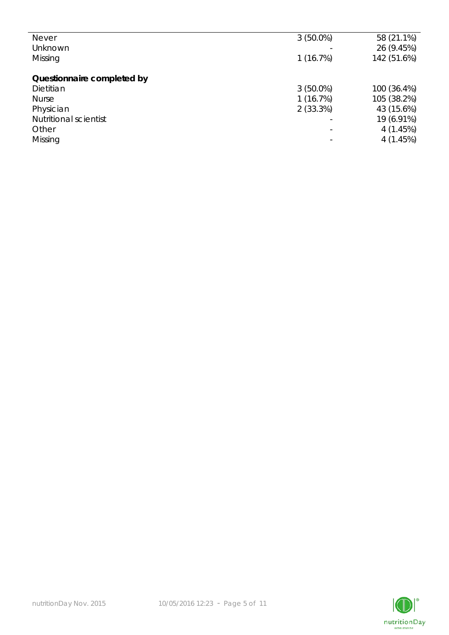| <b>Never</b>               | $3(50.0\%)$              | 58 (21.1%)  |
|----------------------------|--------------------------|-------------|
| Unknown                    |                          | 26 (9.45%)  |
| Missing                    | 1(16.7%)                 | 142 (51.6%) |
|                            |                          |             |
| Questionnaire completed by |                          |             |
| Dietitian                  | $3(50.0\%)$              | 100 (36.4%) |
| <b>Nurse</b>               | 1(16.7%)                 | 105 (38.2%) |
| Physician                  | 2(33.3%)                 | 43 (15.6%)  |
| Nutritional scientist      | $\overline{\phantom{0}}$ | 19 (6.91%)  |
| Other                      | ۳                        | 4(1.45%)    |
| Missing                    |                          | 4(1.45%)    |
|                            |                          |             |

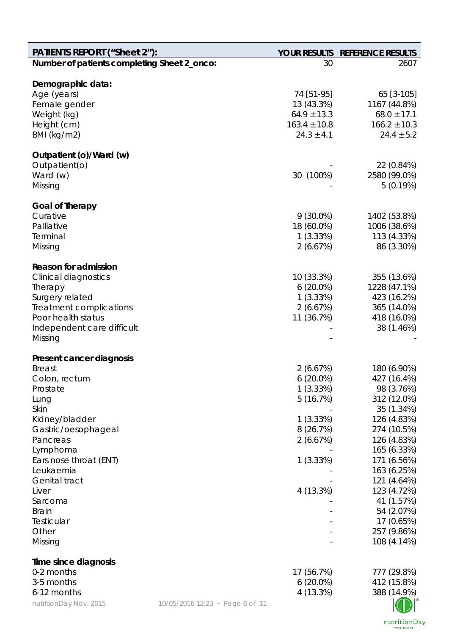| <b>PATIENTS REPORT ("Sheet 2"):</b>         |                                 |                  | YOUR RESULTS REFERENCE RESULTS |
|---------------------------------------------|---------------------------------|------------------|--------------------------------|
| Number of patients completing Sheet 2_onco: |                                 | 30               | 2607                           |
| Demographic data:                           |                                 |                  |                                |
| Age (years)                                 |                                 | 74 [51-95]       | 65 [3-105]                     |
| Female gender                               |                                 | 13 (43.3%)       | 1167 (44.8%)                   |
| Weight (kg)                                 |                                 | $64.9 \pm 13.3$  | $68.0 \pm 17.1$                |
| Height (cm)                                 |                                 | $163.4 \pm 10.8$ | $166.2 \pm 10.3$               |
| BMI (kg/m2)                                 |                                 | $24.3 \pm 4.1$   | $24.4 \pm 5.2$                 |
| Outpatient (o)/Ward (w)                     |                                 |                  |                                |
| Outpatient(o)                               |                                 |                  | 22 (0.84%)                     |
| Ward (w)                                    |                                 | 30 (100%)        | 2580 (99.0%)                   |
| Missing                                     |                                 |                  | 5(0.19%)                       |
| <b>Goal of Therapy</b>                      |                                 |                  |                                |
| Curative                                    |                                 | $9(30.0\%)$      | 1402 (53.8%)                   |
| Palliative                                  |                                 | 18 (60.0%)       | 1006 (38.6%)                   |
| Terminal                                    |                                 | 1(3.33%)         | 113 (4.33%)                    |
| Missing                                     |                                 | 2(6.67%)         | 86 (3.30%)                     |
|                                             |                                 |                  |                                |
| <b>Reason for admission</b>                 |                                 |                  |                                |
| <b>Clinical diagnostics</b>                 |                                 | 10 (33.3%)       | 355 (13.6%)                    |
| Therapy                                     |                                 | $6(20.0\%)$      | 1228 (47.1%)                   |
| Surgery related                             |                                 | 1(3.33%)         | 423 (16.2%)                    |
| Treatment complications                     |                                 | 2(6.67%)         | 365 (14.0%)                    |
| Poor health status                          |                                 | 11 (36.7%)       | 418 (16.0%)                    |
| Independent care difficult                  |                                 |                  | 38 (1.46%)                     |
| Missing                                     |                                 |                  |                                |
| Present cancer diagnosis                    |                                 |                  |                                |
| <b>Breast</b>                               |                                 | 2(6.67%)         | 180 (6.90%)                    |
| Colon, rectum                               |                                 | $6(20.0\%)$      | 427 (16.4%)                    |
| Prostate                                    |                                 | 1(3.33%)         | 98 (3.76%)                     |
| Lung                                        |                                 | 5(16.7%)         | 312 (12.0%)                    |
| Skin                                        |                                 |                  | 35 (1.34%)                     |
| Kidney/bladder                              |                                 | 1(3.33%)         | 126 (4.83%)                    |
| Gastric/oesophageal                         |                                 | 8 (26.7%)        | 274 (10.5%)                    |
| Pancreas                                    |                                 | 2(6.67%)         | 126 (4.83%)                    |
| Lymphoma                                    |                                 |                  | 165 (6.33%)                    |
| Ears nose throat (ENT)                      |                                 | 1(3.33%)         | 171 (6.56%)                    |
| Leukaemia                                   |                                 |                  | 163 (6.25%)                    |
| Genital tract                               |                                 |                  | 121 (4.64%)                    |
| Liver                                       |                                 | 4 (13.3%)        | 123 (4.72%)                    |
| Sarcoma                                     |                                 |                  | 41 (1.57%)                     |
| <b>Brain</b>                                |                                 |                  | 54 (2.07%)                     |
| Testicular                                  |                                 |                  | 17 (0.65%)                     |
| Other                                       |                                 |                  | 257 (9.86%)                    |
| Missing                                     |                                 |                  | 108 (4.14%)                    |
| Time since diagnosis                        |                                 |                  |                                |
| 0-2 months                                  |                                 | 17 (56.7%)       | 777 (29.8%)                    |
| 3-5 months                                  |                                 | $6(20.0\%)$      | 412 (15.8%)                    |
| 6-12 months                                 |                                 | 4 (13.3%)        | 388 (14.9%)                    |
| nutritionDay Nov. 2015                      | 10/05/2016 12:23 - Page 6 of 11 |                  |                                |

nutritionDay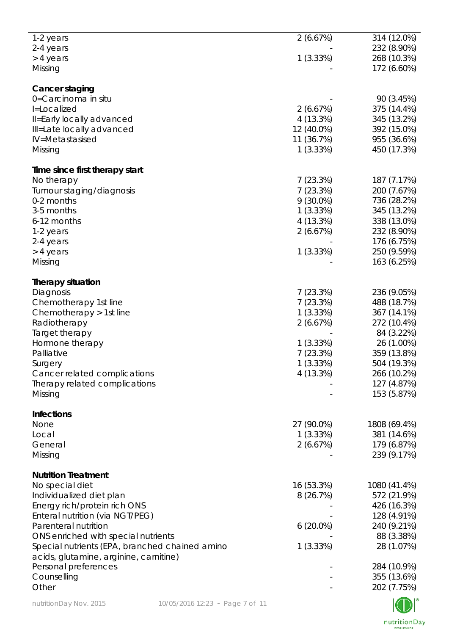| nutritionDay Nov. 2015                                                                   | 10/05/2016 12:23 - Page 7 of 11 |                         |                                           |
|------------------------------------------------------------------------------------------|---------------------------------|-------------------------|-------------------------------------------|
| Personal preferences<br>Counselling<br>Other                                             |                                 |                         | 284 (10.9%)<br>355 (13.6%)<br>202 (7.75%) |
| Special nutrients (EPA, branched chained amino<br>acids, glutamine, arginine, carnitine) |                                 | 1(3.33%)                | 28 (1.07%)                                |
| ONS enriched with special nutrients                                                      |                                 |                         | 88 (3.38%)                                |
| Parenteral nutrition                                                                     |                                 | $6(20.0\%)$             | 240 (9.21%)                               |
| Enteral nutrition (via NGT/PEG)                                                          |                                 |                         | 128 (4.91%)                               |
| Individualized diet plan<br>Energy rich/protein rich ONS                                 |                                 | 8(26.7%)                | 572 (21.9%)<br>426 (16.3%)                |
| No special diet                                                                          |                                 | 16 (53.3%)              | 1080 (41.4%)                              |
| <b>Nutrition Treatment</b>                                                               |                                 |                         |                                           |
|                                                                                          |                                 |                         |                                           |
| Missing                                                                                  |                                 |                         | 239 (9.17%)                               |
| General                                                                                  |                                 | 2(6.67%)                | 179 (6.87%)                               |
| Local                                                                                    |                                 | 1(3.33%)                | 381 (14.6%)                               |
| None                                                                                     |                                 | 27 (90.0%)              | 1808 (69.4%)                              |
| <b>Infections</b>                                                                        |                                 |                         |                                           |
| Missing                                                                                  |                                 |                         | 153 (5.87%)                               |
| Therapy related complications                                                            |                                 |                         | 127 (4.87%)                               |
| Cancer related complications                                                             |                                 | 4 (13.3%)               | 266 (10.2%)                               |
| Surgery                                                                                  |                                 | 1(3.33%)                | 504 (19.3%)                               |
| Palliative                                                                               |                                 | 7(23.3%)                | 359 (13.8%)                               |
| Hormone therapy                                                                          |                                 | 1(3.33%)                | 26 (1.00%)                                |
| Target therapy                                                                           |                                 |                         | 84 (3.22%)                                |
| Radiotherapy                                                                             |                                 | 2(6.67%)                | 272 (10.4%)                               |
| Chemotherapy > 1st line                                                                  |                                 | 1(3.33%)                | 367 (14.1%)                               |
| Chemotherapy 1st line                                                                    |                                 | 7(23.3%)                | 488 (18.7%)                               |
| Diagnosis                                                                                |                                 | 7(23.3%)                | 236 (9.05%)                               |
| <b>Therapy situation</b>                                                                 |                                 |                         |                                           |
|                                                                                          |                                 |                         |                                           |
| Missing                                                                                  |                                 |                         | 163 (6.25%)                               |
| > 4 years                                                                                |                                 | 1(3.33%)                | 250 (9.59%)                               |
| 2-4 years                                                                                |                                 |                         | 176 (6.75%)                               |
| 1-2 years                                                                                |                                 | 2(6.67%)                | 232 (8.90%)                               |
| 6-12 months                                                                              |                                 | 4 (13.3%)               | 338 (13.0%)                               |
| 3-5 months                                                                               |                                 | $9(30.0\%)$<br>1(3.33%) | 736 (28.2%)<br>345 (13.2%)                |
| Tumour staging/diagnosis<br>0-2 months                                                   |                                 | 7(23.3%)                | 200 (7.67%)                               |
| No therapy                                                                               |                                 | 7(23.3%)                | 187 (7.17%)                               |
| Time since first therapy start                                                           |                                 |                         |                                           |
|                                                                                          |                                 |                         |                                           |
| Missing                                                                                  |                                 | 1(3.33%)                | 450 (17.3%)                               |
| IV=Metastasised                                                                          |                                 | 11 (36.7%)              | 955 (36.6%)                               |
| Ill=Late locally advanced                                                                |                                 | 12 (40.0%)              | 392 (15.0%)                               |
| II=Early locally advanced                                                                |                                 | 4(13.3%)                | 345 (13.2%)                               |
| I=Localized                                                                              |                                 | 2(6.67%)                | 375 (14.4%)                               |
| 0=Carcinoma in situ                                                                      |                                 |                         | 90 (3.45%)                                |
| <b>Cancer staging</b>                                                                    |                                 |                         |                                           |
| Missing                                                                                  |                                 |                         | 172 (6.60%)                               |
| > 4 years                                                                                |                                 | 1(3.33%)                | 268 (10.3%)                               |
| 2-4 years                                                                                |                                 |                         | 232 (8.90%)                               |
| 1-2 years                                                                                |                                 | 2(6.67%)                | 314 (12.0%)                               |
|                                                                                          |                                 |                         |                                           |

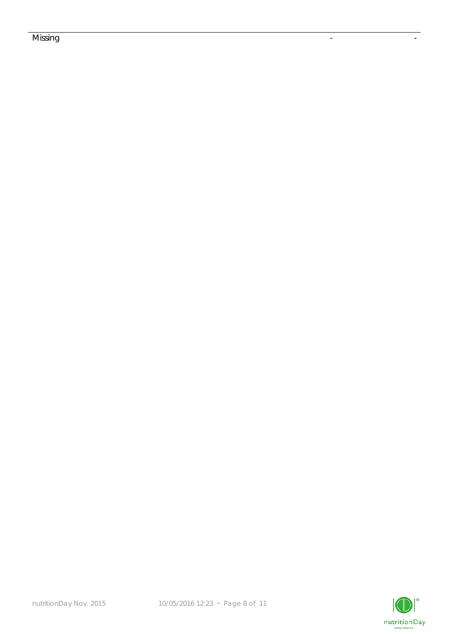## Missing the contract of the contract of the contract of the contract of the contract of the contract of the co

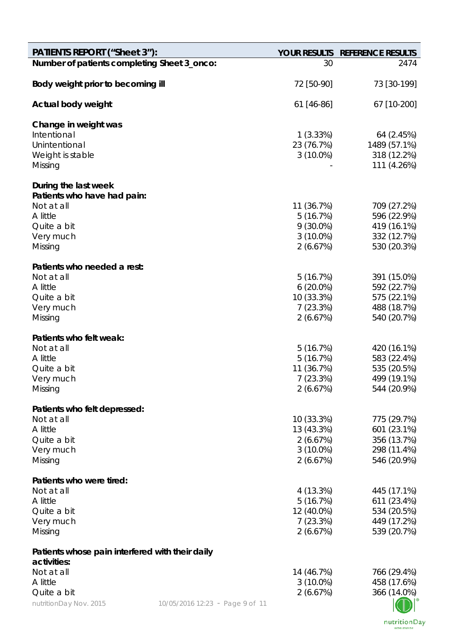| <b>PATIENTS REPORT ("Sheet 3"):</b>                 |                                 |                         | YOUR RESULTS REFERENCE RESULTS |
|-----------------------------------------------------|---------------------------------|-------------------------|--------------------------------|
| Number of patients completing Sheet 3_onco:         |                                 | 30                      | 2474                           |
| Body weight prior to becoming ill                   |                                 | 72 [50-90]              | 73 [30-199]                    |
| Actual body weight                                  |                                 | 61 [46-86]              | 67 [10-200]                    |
| Change in weight was                                |                                 |                         |                                |
| Intentional                                         |                                 | 1(3.33%)                | 64 (2.45%)                     |
| Unintentional                                       |                                 | 23 (76.7%)              | 1489 (57.1%)                   |
| Weight is stable<br>Missing                         |                                 | $3(10.0\%)$             | 318 (12.2%)<br>111 (4.26%)     |
|                                                     |                                 |                         |                                |
| During the last week<br>Patients who have had pain: |                                 |                         |                                |
| Not at all                                          |                                 | 11 (36.7%)              | 709 (27.2%)                    |
| A little                                            |                                 | 5(16.7%)                | 596 (22.9%)                    |
| Quite a bit                                         |                                 | $9(30.0\%)$             | 419 (16.1%)                    |
| Very much                                           |                                 | $3(10.0\%)$             | 332 (12.7%)                    |
| Missing                                             |                                 | 2(6.67%)                | 530 (20.3%)                    |
| Patients who needed a rest:                         |                                 |                         |                                |
| Not at all                                          |                                 | 5(16.7%)                | 391 (15.0%)                    |
| A little                                            |                                 | $6(20.0\%)$             | 592 (22.7%)                    |
| Quite a bit                                         |                                 | 10 (33.3%)              | 575 (22.1%)                    |
| Very much                                           |                                 | 7(23.3%)                | 488 (18.7%)                    |
| Missing                                             |                                 | 2(6.67%)                | 540 (20.7%)                    |
| Patients who felt weak:                             |                                 |                         |                                |
| Not at all                                          |                                 | 5(16.7%)                | 420 (16.1%)                    |
| A little                                            |                                 | 5(16.7%)                | 583 (22.4%)                    |
| Quite a bit                                         |                                 | 11 (36.7%)              | 535 (20.5%)                    |
| Very much                                           |                                 | 7(23.3%)                | 499 (19.1%)                    |
| Missing                                             |                                 | 2(6.67%)                | 544 (20.9%)                    |
| Patients who felt depressed:                        |                                 |                         |                                |
| Not at all                                          |                                 | 10 (33.3%)              | 775 (29.7%)                    |
| A little                                            |                                 | 13 (43.3%)              | 601 (23.1%)                    |
| Quite a bit                                         |                                 | 2(6.67%)                | 356 (13.7%)                    |
| Very much                                           |                                 | $3(10.0\%)$             | 298 (11.4%)                    |
| Missing                                             |                                 | 2(6.67%)                | 546 (20.9%)                    |
| Patients who were tired:                            |                                 |                         |                                |
| Not at all                                          |                                 | 4 (13.3%)               | 445 (17.1%)                    |
| A little                                            |                                 | 5(16.7%)                | 611 (23.4%)                    |
| Quite a bit                                         |                                 | 12 (40.0%)              | 534 (20.5%)                    |
| Very much                                           |                                 | 7(23.3%)                | 449 (17.2%)                    |
| Missing                                             |                                 | 2(6.67%)                | 539 (20.7%)                    |
| Patients whose pain interfered with their daily     |                                 |                         |                                |
| activities:                                         |                                 |                         |                                |
| Not at all                                          |                                 | 14 (46.7%)              | 766 (29.4%)                    |
| A little<br>Quite a bit                             |                                 | $3(10.0\%)$<br>2(6.67%) | 458 (17.6%)<br>366 (14.0%)     |
| nutritionDay Nov. 2015                              | 10/05/2016 12:23 - Page 9 of 11 |                         |                                |
|                                                     |                                 |                         |                                |

nutritionDay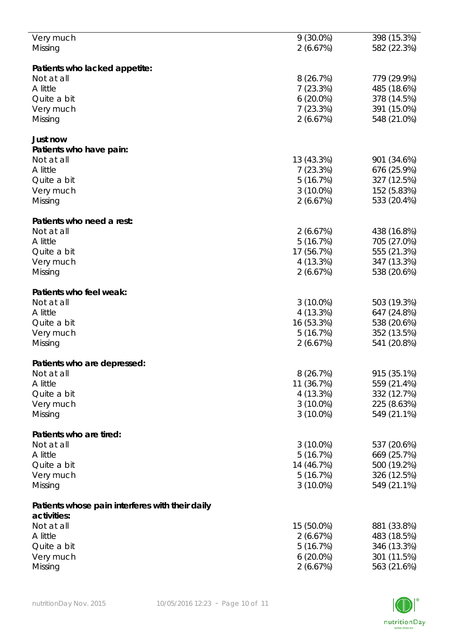| Very much                                       | $9(30.0\%)$ | 398 (15.3%) |
|-------------------------------------------------|-------------|-------------|
| Missing                                         | 2(6.67%)    | 582 (22.3%) |
|                                                 |             |             |
|                                                 |             |             |
| Patients who lacked appetite:                   |             |             |
| Not at all                                      | 8(26.7%)    | 779 (29.9%) |
| A little                                        | 7(23.3%)    | 485 (18.6%) |
| Quite a bit                                     | $6(20.0\%)$ | 378 (14.5%) |
| Very much                                       | 7(23.3%)    | 391 (15.0%) |
| Missing                                         | 2(6.67%)    | 548 (21.0%) |
|                                                 |             |             |
| Just now                                        |             |             |
|                                                 |             |             |
| Patients who have pain:                         |             |             |
| Not at all                                      | 13 (43.3%)  | 901 (34.6%) |
| A little                                        | 7(23.3%)    | 676 (25.9%) |
| Quite a bit                                     | 5(16.7%)    | 327 (12.5%) |
| Very much                                       | $3(10.0\%)$ | 152 (5.83%) |
| Missing                                         | 2(6.67%)    | 533 (20.4%) |
|                                                 |             |             |
|                                                 |             |             |
| Patients who need a rest:                       |             |             |
| Not at all                                      | 2(6.67%)    | 438 (16.8%) |
| A little                                        | 5(16.7%)    | 705 (27.0%) |
| Quite a bit                                     | 17 (56.7%)  | 555 (21.3%) |
| Very much                                       | 4(13.3%)    | 347 (13.3%) |
| Missing                                         | 2(6.67%)    | 538 (20.6%) |
|                                                 |             |             |
| Patients who feel weak:                         |             |             |
|                                                 |             |             |
| Not at all                                      | $3(10.0\%)$ | 503 (19.3%) |
| A little                                        | 4 (13.3%)   | 647 (24.8%) |
| Quite a bit                                     | 16 (53.3%)  | 538 (20.6%) |
| Very much                                       | 5(16.7%)    | 352 (13.5%) |
| Missing                                         | 2(6.67%)    | 541 (20.8%) |
|                                                 |             |             |
| Patients who are depressed:                     |             |             |
|                                                 |             |             |
| Not at all                                      | 8(26.7%)    | 915 (35.1%) |
| A little                                        | 11 (36.7%)  | 559 (21.4%) |
| Quite a bit                                     | 4(13.3%)    | 332 (12.7%) |
| Very much                                       | $3(10.0\%)$ | 225 (8.63%) |
| Missing                                         | $3(10.0\%)$ | 549 (21.1%) |
|                                                 |             |             |
| Patients who are tired:                         |             |             |
| Not at all                                      | $3(10.0\%)$ | 537 (20.6%) |
|                                                 |             |             |
| A little                                        | 5(16.7%)    | 669 (25.7%) |
| Quite a bit                                     | 14 (46.7%)  | 500 (19.2%) |
| Very much                                       | 5(16.7%)    | 326 (12.5%) |
| Missing                                         | $3(10.0\%)$ | 549 (21.1%) |
|                                                 |             |             |
| Patients whose pain interferes with their daily |             |             |
| activities:                                     |             |             |
| Not at all                                      | 15 (50.0%)  | 881 (33.8%) |
| A little                                        |             |             |
|                                                 | 2(6.67%)    | 483 (18.5%) |
| Quite a bit                                     | 5(16.7%)    | 346 (13.3%) |
| Very much                                       | $6(20.0\%)$ | 301 (11.5%) |
| Missing                                         | 2(6.67%)    | 563 (21.6%) |